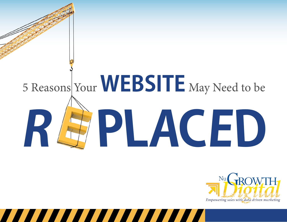# **WEBSITE** 5 Reasons Your WEDDILE May Need to be



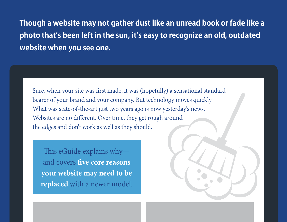**Though a website may not gather dust like an unread book or fade like a photo that's been left in the sun, it's easy to recognize an old, outdated website when you see one.**

Sure, when your site was first made, it was (hopefully) a sensational standard bearer of your brand and your company. But technology moves quickly. What was state-of-the-art just two years ago is now yesterday's news. Websites are no different. Over time, they get rough around the edges and don't work as well as they should.

[www.NugrowthDigital.com](http://www.nugrowthdigital.com)

This eGuide explains why and covers **five core reasons your website may need to be replaced** with a newer model.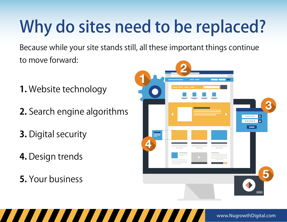## Why do sites need to be replaced?

Because while your site stands still, all these important things continue to move forward:

- **1.** Website technology
- **2.** Search engine algorithms
- **3.** Digital security
- **4.** Design trends
- **5.** Your business

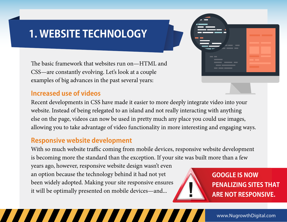#### **1. WEBSITE TECHNOLOGY**

The basic framework that websites run on—HTML and CSS—are constantly evolving. Let's look at a couple examples of big advances in the past several years:

#### **Increased use of videos**

Recent developments in CSS have made it easier to more deeply integrate video into your website. Instead of being relegated to an island and not really interacting with anything else on the page, videos can now be used in pretty much any place you could use images, allowing you to take advantage of video functionality in more interesting and engaging ways.

#### **Responsive website development**

With so much website traffic coming from mobile devices, responsive website development is becoming more the standard than the exception. If your site was built more than a few

years ago, however, responsive website design wasn't even an option because the technology behind it had not yet been widely adopted. Making your site responsive ensures it will be optimally presented on mobile devices—and...

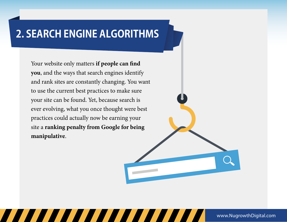### **2. SEARCH ENGINE ALGORITHMS**

Your website only matters **if people can find you**, and the ways that search engines identify and rank sites are constantly changing. You want to use the current best practices to make sure your site can be found. Yet, because search is ever evolving, what you once thought were best practices could actually now be earning your site a **ranking penalty from Google for being manipulative**.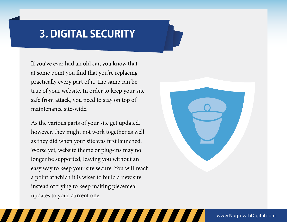#### **3. DIGITAL SECURITY**

If you've ever had an old car, you know that at some point you find that you're replacing practically every part of it. The same can be true of your website. In order to keep your site safe from attack, you need to stay on top of maintenance site-wide.

As the various parts of your site get updated, however, they might not work together as well as they did when your site was first launched. Worse yet, website theme or plug-ins may no longer be supported, leaving you without an easy way to keep your site secure. You will reach a point at which it is wiser to build a new site instead of trying to keep making piecemeal updates to your current one.

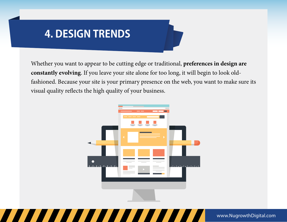#### **4. DESIGN TRENDS**

Whether you want to appear to be cutting edge or traditional, **preferences in design are constantly evolving**. If you leave your site alone for too long, it will begin to look oldfashioned. Because your site is your primary presence on the web, you want to make sure its visual quality reflects the high quality of your business.

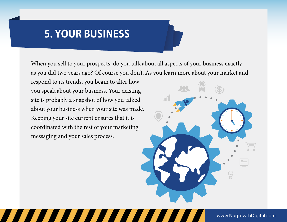#### **5. YOUR BUSINESS**

When you sell to your prospects, do you talk about all aspects of your business exactly as you did two years ago? Of course you don't. As you learn more about your market and

respond to its trends, you begin to alter how you speak about your business. Your existing site is probably a snapshot of how you talked about your business when your site was made. Keeping your site current ensures that it is coordinated with the rest of your marketing messaging and your sales process.

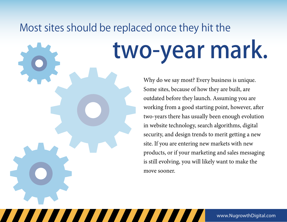## Most sites should be replaced once they hit the

# two-year mark.

Why do we say most? Every business is unique. Some sites, because of how they are built, are outdated before they launch. Assuming you are working from a good starting point, however, after two-years there has usually been enough evolution in website technology, search algorithms, digital security, and design trends to merit getting a new site. If you are entering new markets with new products, or if your marketing and sales messaging is still evolving, you will likely want to make the move sooner.